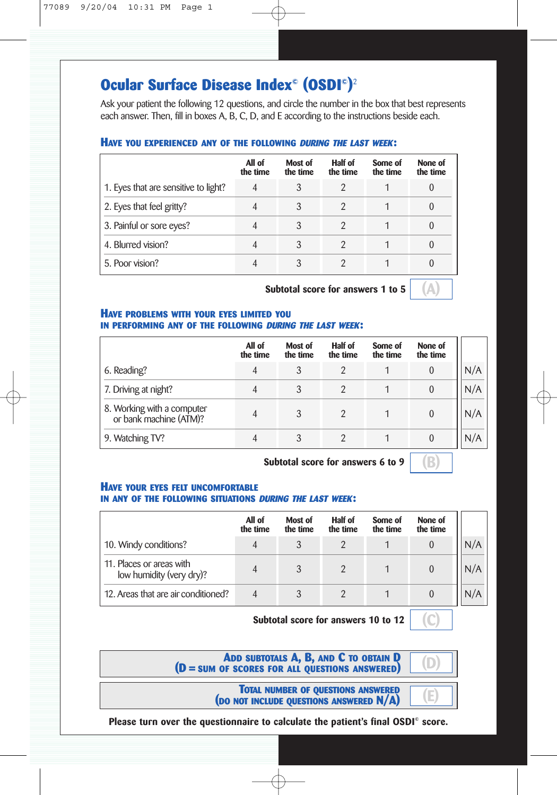# **Ocular Surface Disease Index© (OSDI©)** 2

Ask your patient the following 12 questions, and circle the number in the box that best represents each answer. Then, fill in boxes A, B, C, D, and E according to the instructions beside each.

#### **HAVE YOU EXPERIENCED ANY OF THE FOLLOWING DURING THE LAST WEEK:**

|                                      | All of<br>the time | Most of<br>the time | Half of<br>the time | Some of<br>the time | None of<br>the time |
|--------------------------------------|--------------------|---------------------|---------------------|---------------------|---------------------|
| 1. Eyes that are sensitive to light? | 4                  | 3                   | $\mathcal{P}$       |                     |                     |
| 2. Eyes that feel gritty?            | 4                  | 3                   | 2                   |                     |                     |
| 3. Painful or sore eyes?             |                    | 3                   |                     |                     |                     |
| 4. Blurred vision?                   | 4                  | 3                   |                     |                     |                     |
| 5. Poor vision?                      | 4                  | 3                   |                     |                     |                     |

#### **Subtotal score for answers 1 to 5**

#### **HAVE PROBLEMS WITH YOUR EYES LIMITED YOU IN PERFORMING ANY OF THE FOLLOWING DURING THE LAST WEEK:**

|                                                      | All of<br>the time | <b>Most of</b><br>the time | Half of<br>the time | Some of<br>the time | None of<br>the time |     |
|------------------------------------------------------|--------------------|----------------------------|---------------------|---------------------|---------------------|-----|
| 6. Reading?                                          |                    | 3                          |                     |                     | 0                   | N/A |
| 7. Driving at night?                                 |                    | 3                          |                     |                     | $\theta$            | N/A |
| 8. Working with a computer<br>or bank machine (ATM)? |                    |                            |                     |                     | 0                   | N/A |
| 9. Watching TV?                                      |                    |                            |                     |                     | $\theta$            |     |

### **Subtotal score for answers 6 to 9**

#### **HAVE YOUR EYES FELT UNCOMFORTABLE IN ANY OF THE FOLLOWING SITUATIONS DURING THE LAST WEEK:**

|                                                      | All of<br>the time | <b>Most of</b><br>the time | <b>Half of</b><br>the time | Some of<br>the time | None of<br>the time |
|------------------------------------------------------|--------------------|----------------------------|----------------------------|---------------------|---------------------|
| 10. Windy conditions?                                |                    | 3                          |                            |                     | 0                   |
| 11. Places or areas with<br>low humidity (very dry)? |                    | 3                          |                            |                     |                     |
| 12. Areas that are air conditioned?                  |                    | 3                          |                            |                     |                     |

**Subtotal score for answers 10 to 12**



**(D)**

**(E)**

**(A)**

**(B)**

**ADD SUBTOTALS A, B, AND C TO OBTAIN D (D = SUM OF SCORES FOR ALL QUESTIONS ANSWERED)**

> **TOTAL NUMBER OF QUESTIONS ANSWERED (DO NOT INCLUDE QUESTIONS ANSWERED N/A)**

**Please turn over the questionnaire to calculate the patient's final OSDI© score.**